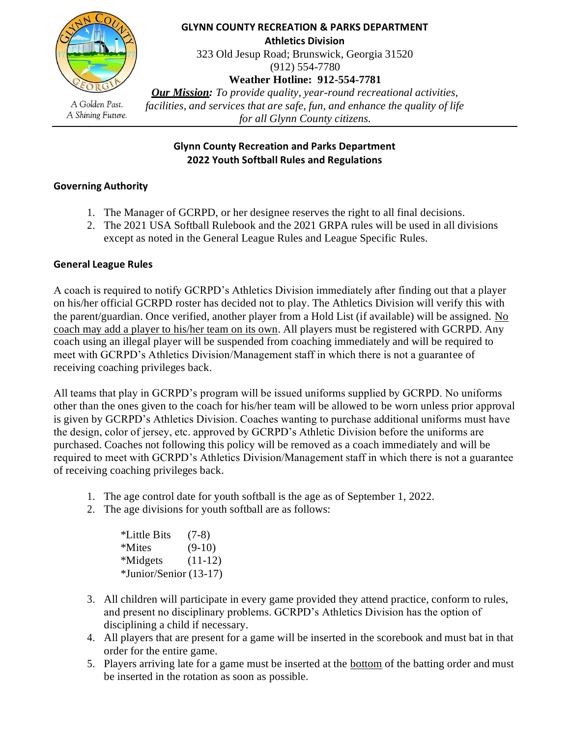

**GLYNN COUNTY RECREATION & PARKS DEPARTMENT Athletics Division** 323 Old Jesup Road; Brunswick, Georgia 31520 (912) 554-7780 **Weather Hotline: 912-554-7781** *Our Mission: To provide quality, year-round recreational activities, facilities, and services that are safe, fun, and enhance the quality of life* 

A Golden Past. A Shining Future.

*for all Glynn County citizens.*

# **Glynn County Recreation and Parks Department 2022 Youth Softball Rules and Regulations**

# **Governing Authority**

- 1. The Manager of GCRPD, or her designee reserves the right to all final decisions.
- 2. The 2021 USA Softball Rulebook and the 2021 GRPA rules will be used in all divisions except as noted in the General League Rules and League Specific Rules.

# **General League Rules**

A coach is required to notify GCRPD's Athletics Division immediately after finding out that a player on his/her official GCRPD roster has decided not to play. The Athletics Division will verify this with the parent/guardian. Once verified, another player from a Hold List (if available) will be assigned. No coach may add a player to his/her team on its own. All players must be registered with GCRPD. Any coach using an illegal player will be suspended from coaching immediately and will be required to meet with GCRPD's Athletics Division/Management staff in which there is not a guarantee of receiving coaching privileges back.

All teams that play in GCRPD's program will be issued uniforms supplied by GCRPD. No uniforms other than the ones given to the coach for his/her team will be allowed to be worn unless prior approval is given by GCRPD's Athletics Division. Coaches wanting to purchase additional uniforms must have the design, color of jersey, etc. approved by GCRPD's Athletic Division before the uniforms are purchased. Coaches not following this policy will be removed as a coach immediately and will be required to meet with GCRPD's Athletics Division/Management staff in which there is not a guarantee of receiving coaching privileges back.

- 1. The age control date for youth softball is the age as of September 1, 2022.
- 2. The age divisions for youth softball are as follows:

| *Little Bits           | $(7-8)$   |
|------------------------|-----------|
| *Mites                 | $(9-10)$  |
| <i><b>*Midgets</b></i> | $(11-12)$ |
| *Junior/Senior (13-17) |           |

- 3. All children will participate in every game provided they attend practice, conform to rules, and present no disciplinary problems. GCRPD's Athletics Division has the option of disciplining a child if necessary.
- 4. All players that are present for a game will be inserted in the scorebook and must bat in that order for the entire game.
- 5. Players arriving late for a game must be inserted at the bottom of the batting order and must be inserted in the rotation as soon as possible.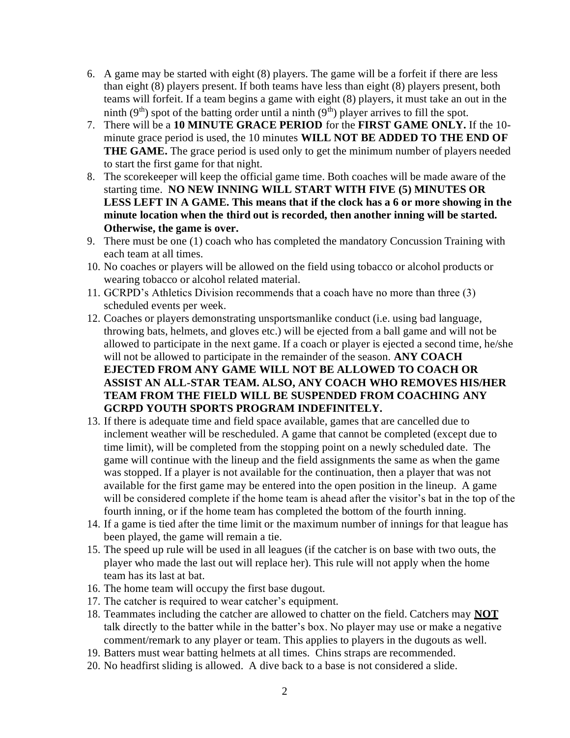- 6. A game may be started with eight (8) players. The game will be a forfeit if there are less than eight (8) players present. If both teams have less than eight (8) players present, both teams will forfeit. If a team begins a game with eight (8) players, it must take an out in the ninth (9<sup>th</sup>) spot of the batting order until a ninth (9<sup>th</sup>) player arrives to fill the spot.
- 7. There will be a **10 MINUTE GRACE PERIOD** for the **FIRST GAME ONLY.** If the 10 minute grace period is used, the 10 minutes **WILL NOT BE ADDED TO THE END OF THE GAME.** The grace period is used only to get the minimum number of players needed to start the first game for that night.
- 8. The scorekeeper will keep the official game time. Both coaches will be made aware of the starting time. **NO NEW INNING WILL START WITH FIVE (5) MINUTES OR LESS LEFT IN A GAME. This means that if the clock has a 6 or more showing in the minute location when the third out is recorded, then another inning will be started. Otherwise, the game is over.**
- 9. There must be one (1) coach who has completed the mandatory Concussion Training with each team at all times.
- 10. No coaches or players will be allowed on the field using tobacco or alcohol products or wearing tobacco or alcohol related material.
- 11. GCRPD's Athletics Division recommends that a coach have no more than three (3) scheduled events per week.
- 12. Coaches or players demonstrating unsportsmanlike conduct (i.e. using bad language, throwing bats, helmets, and gloves etc.) will be ejected from a ball game and will not be allowed to participate in the next game. If a coach or player is ejected a second time, he/she will not be allowed to participate in the remainder of the season. **ANY COACH EJECTED FROM ANY GAME WILL NOT BE ALLOWED TO COACH OR ASSIST AN ALL-STAR TEAM. ALSO, ANY COACH WHO REMOVES HIS/HER TEAM FROM THE FIELD WILL BE SUSPENDED FROM COACHING ANY GCRPD YOUTH SPORTS PROGRAM INDEFINITELY.**
- 13. If there is adequate time and field space available, games that are cancelled due to inclement weather will be rescheduled. A game that cannot be completed (except due to time limit), will be completed from the stopping point on a newly scheduled date. The game will continue with the lineup and the field assignments the same as when the game was stopped. If a player is not available for the continuation, then a player that was not available for the first game may be entered into the open position in the lineup. A game will be considered complete if the home team is ahead after the visitor's bat in the top of the fourth inning, or if the home team has completed the bottom of the fourth inning.
- 14. If a game is tied after the time limit or the maximum number of innings for that league has been played, the game will remain a tie.
- 15. The speed up rule will be used in all leagues (if the catcher is on base with two outs, the player who made the last out will replace her). This rule will not apply when the home team has its last at bat.
- 16. The home team will occupy the first base dugout.
- 17. The catcher is required to wear catcher's equipment.
- 18. Teammates including the catcher are allowed to chatter on the field. Catchers may **NOT** talk directly to the batter while in the batter's box. No player may use or make a negative comment/remark to any player or team. This applies to players in the dugouts as well.
- 19. Batters must wear batting helmets at all times. Chins straps are recommended.
- 20. No headfirst sliding is allowed. A dive back to a base is not considered a slide.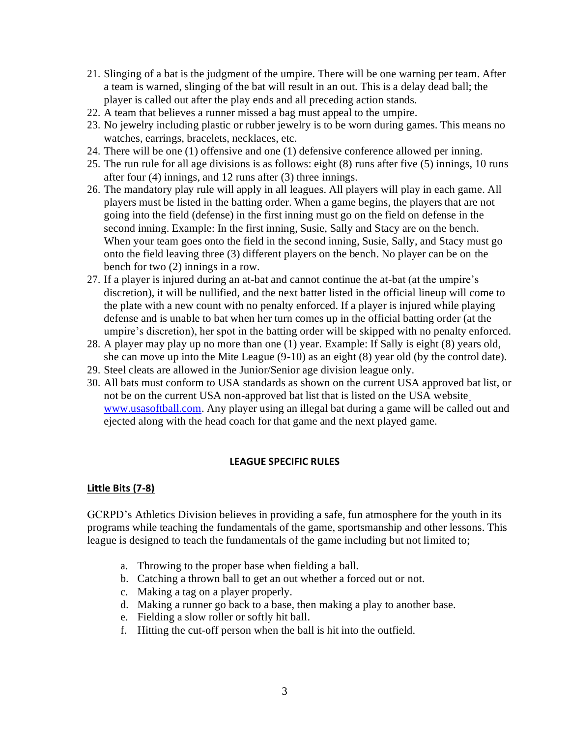- 21. Slinging of a bat is the judgment of the umpire. There will be one warning per team. After a team is warned, slinging of the bat will result in an out. This is a delay dead ball; the player is called out after the play ends and all preceding action stands.
- 22. A team that believes a runner missed a bag must appeal to the umpire.
- 23. No jewelry including plastic or rubber jewelry is to be worn during games. This means no watches, earrings, bracelets, necklaces, etc.
- 24. There will be one (1) offensive and one (1) defensive conference allowed per inning.
- 25. The run rule for all age divisions is as follows: eight (8) runs after five (5) innings, 10 runs after four (4) innings, and 12 runs after (3) three innings.
- 26. The mandatory play rule will apply in all leagues. All players will play in each game. All players must be listed in the batting order. When a game begins, the players that are not going into the field (defense) in the first inning must go on the field on defense in the second inning. Example: In the first inning, Susie, Sally and Stacy are on the bench. When your team goes onto the field in the second inning, Susie, Sally, and Stacy must go onto the field leaving three (3) different players on the bench. No player can be on the bench for two (2) innings in a row.
- 27. If a player is injured during an at-bat and cannot continue the at-bat (at the umpire's discretion), it will be nullified, and the next batter listed in the official lineup will come to the plate with a new count with no penalty enforced. If a player is injured while playing defense and is unable to bat when her turn comes up in the official batting order (at the umpire's discretion), her spot in the batting order will be skipped with no penalty enforced.
- 28. A player may play up no more than one (1) year. Example: If Sally is eight (8) years old, she can move up into the Mite League (9-10) as an eight (8) year old (by the control date).
- 29. Steel cleats are allowed in the Junior/Senior age division league only.
- 30. All bats must conform to USA standards as shown on the current USA approved bat list, or not be on the current USA non-approved bat list that is listed on the USA website [www.usasoftball.com.](http://www.usasoftball.com/) Any player using an illegal bat during a game will be called out and ejected along with the head coach for that game and the next played game.

### **LEAGUE SPECIFIC RULES**

### **Little Bits (7-8)**

GCRPD's Athletics Division believes in providing a safe, fun atmosphere for the youth in its programs while teaching the fundamentals of the game, sportsmanship and other lessons. This league is designed to teach the fundamentals of the game including but not limited to;

- a. Throwing to the proper base when fielding a ball.
- b. Catching a thrown ball to get an out whether a forced out or not.
- c. Making a tag on a player properly.
- d. Making a runner go back to a base, then making a play to another base.
- e. Fielding a slow roller or softly hit ball.
- f. Hitting the cut-off person when the ball is hit into the outfield.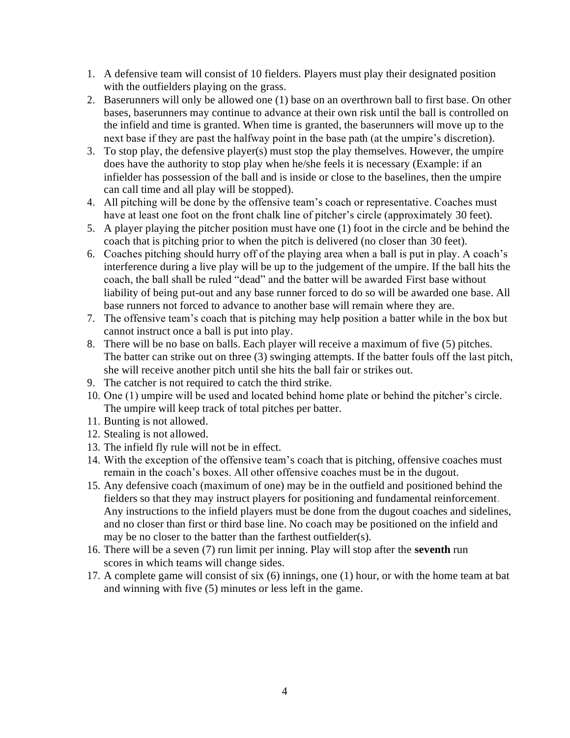- 1. A defensive team will consist of 10 fielders. Players must play their designated position with the outfielders playing on the grass.
- 2. Baserunners will only be allowed one (1) base on an overthrown ball to first base. On other bases, baserunners may continue to advance at their own risk until the ball is controlled on the infield and time is granted. When time is granted, the baserunners will move up to the next base if they are past the halfway point in the base path (at the umpire's discretion).
- 3. To stop play, the defensive player(s) must stop the play themselves. However, the umpire does have the authority to stop play when he/she feels it is necessary (Example: if an infielder has possession of the ball and is inside or close to the baselines, then the umpire can call time and all play will be stopped).
- 4. All pitching will be done by the offensive team's coach or representative. Coaches must have at least one foot on the front chalk line of pitcher's circle (approximately 30 feet).
- 5. A player playing the pitcher position must have one (1) foot in the circle and be behind the coach that is pitching prior to when the pitch is delivered (no closer than 30 feet).
- 6. Coaches pitching should hurry off of the playing area when a ball is put in play. A coach's interference during a live play will be up to the judgement of the umpire. If the ball hits the coach, the ball shall be ruled "dead" and the batter will be awarded First base without liability of being put-out and any base runner forced to do so will be awarded one base. All base runners not forced to advance to another base will remain where they are.
- 7. The offensive team's coach that is pitching may help position a batter while in the box but cannot instruct once a ball is put into play.
- 8. There will be no base on balls. Each player will receive a maximum of five (5) pitches. The batter can strike out on three (3) swinging attempts. If the batter fouls off the last pitch, she will receive another pitch until she hits the ball fair or strikes out.
- 9. The catcher is not required to catch the third strike.
- 10. One (1) umpire will be used and located behind home plate or behind the pitcher's circle. The umpire will keep track of total pitches per batter.
- 11. Bunting is not allowed.
- 12. Stealing is not allowed.
- 13. The infield fly rule will not be in effect.
- 14. With the exception of the offensive team's coach that is pitching, offensive coaches must remain in the coach's boxes. All other offensive coaches must be in the dugout.
- 15. Any defensive coach (maximum of one) may be in the outfield and positioned behind the fielders so that they may instruct players for positioning and fundamental reinforcement. Any instructions to the infield players must be done from the dugout coaches and sidelines, and no closer than first or third base line. No coach may be positioned on the infield and may be no closer to the batter than the farthest outfielder(s).
- 16. There will be a seven (7) run limit per inning. Play will stop after the **seventh** run scores in which teams will change sides.
- 17. A complete game will consist of six (6) innings, one (1) hour, or with the home team at bat and winning with five (5) minutes or less left in the game.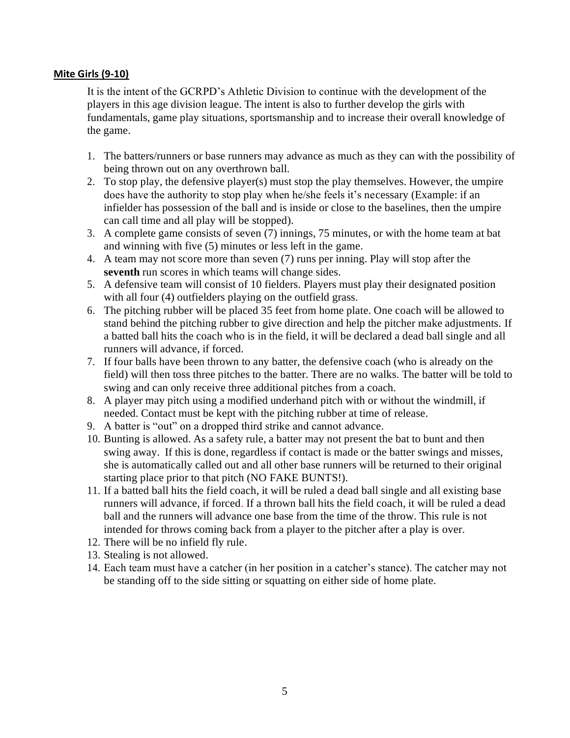#### **Mite Girls (9-10)**

It is the intent of the GCRPD's Athletic Division to continue with the development of the players in this age division league. The intent is also to further develop the girls with fundamentals, game play situations, sportsmanship and to increase their overall knowledge of the game.

- 1. The batters/runners or base runners may advance as much as they can with the possibility of being thrown out on any overthrown ball.
- 2. To stop play, the defensive player(s) must stop the play themselves. However, the umpire does have the authority to stop play when he/she feels it's necessary (Example: if an infielder has possession of the ball and is inside or close to the baselines, then the umpire can call time and all play will be stopped).
- 3. A complete game consists of seven (7) innings, 75 minutes, or with the home team at bat and winning with five (5) minutes or less left in the game.
- 4. A team may not score more than seven (7) runs per inning. Play will stop after the **seventh** run scores in which teams will change sides.
- 5. A defensive team will consist of 10 fielders. Players must play their designated position with all four (4) outfielders playing on the outfield grass.
- 6. The pitching rubber will be placed 35 feet from home plate. One coach will be allowed to stand behind the pitching rubber to give direction and help the pitcher make adjustments. If a batted ball hits the coach who is in the field, it will be declared a dead ball single and all runners will advance, if forced.
- 7. If four balls have been thrown to any batter, the defensive coach (who is already on the field) will then toss three pitches to the batter. There are no walks. The batter will be told to swing and can only receive three additional pitches from a coach.
- 8. A player may pitch using a modified underhand pitch with or without the windmill, if needed. Contact must be kept with the pitching rubber at time of release.
- 9. A batter is "out" on a dropped third strike and cannot advance.
- 10. Bunting is allowed. As a safety rule, a batter may not present the bat to bunt and then swing away. If this is done, regardless if contact is made or the batter swings and misses, she is automatically called out and all other base runners will be returned to their original starting place prior to that pitch (NO FAKE BUNTS!).
- 11. If a batted ball hits the field coach, it will be ruled a dead ball single and all existing base runners will advance, if forced. If a thrown ball hits the field coach, it will be ruled a dead ball and the runners will advance one base from the time of the throw. This rule is not intended for throws coming back from a player to the pitcher after a play is over.
- 12. There will be no infield fly rule.
- 13. Stealing is not allowed.
- 14. Each team must have a catcher (in her position in a catcher's stance). The catcher may not be standing off to the side sitting or squatting on either side of home plate.